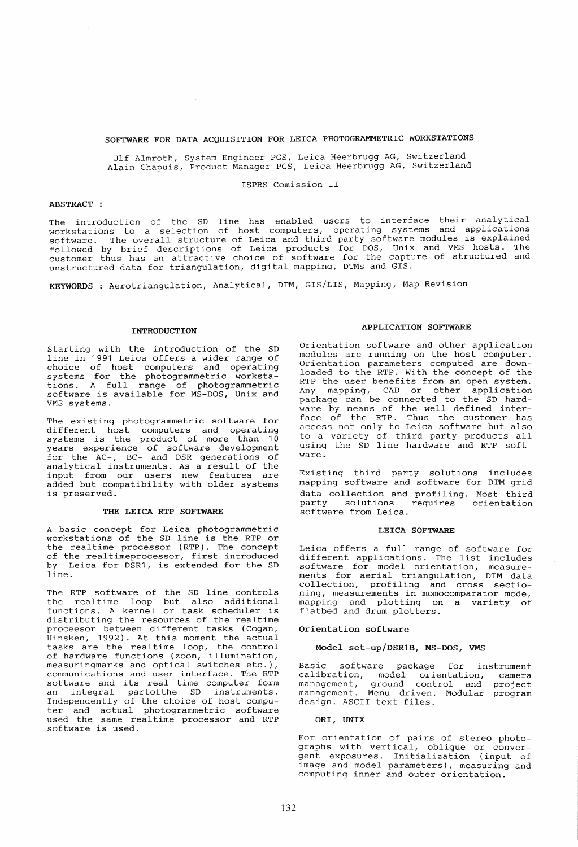# SOFTWARE FOR DATA ACQUISITION FOR LEICA PHOTOGRAMMETRIC WORKSTATIONS

Ulf Almroth, System Engineer PGS, Leica Heerbrugg AG, Switzerland Alain Chapuis, Product Manager PGS, Leica Heerbrugg AG, Switzerland

## ISPRS Comission II

## ABSTRACT :

The introduction of the SD line has enabled users to interface their analytical workstations to a selection of host computers, operating systems and applications software. The overall structure of Leica and third party software modules is explained followed by brief descriptions of Leica products for DOS, Unix and VMS hosts. The customer thus has an attractive choice of software for the capture of structured and unstructured data for triangulation, digital mapping, DTMs and GIS.

KEYWORDS: Aerotriangulation, Analytical, DTM, GIS/LIS, Mapping, Map Revision

### INTRODUCTION

Starting with the introduction of the SD line in 1991 Leica offers a wider range of choice of host computers and operating systems for the photogrammetric workstations. A full range of photogrammetric software is available for MS-DOS, Unix and VMS systems.

The existing photogrammetric software for different host computers and operating systems is the product of more than 10 years experience of software development for the AC-, BC- and DSR generations of analytical instruments. As a result of the input from our users new features are added but compatibility with older systems is preserved.

### THE LEICA RTP SOFTWARE

A basic concept for Leica photogrammetric workstations of the SD line is the RTP or the realtime processor (RTP). The concept of the realtimeprocessor, first introduced by Leica for DSR1, is extended for the SD line.

The RTP software of the SD line controls the realtime loop but also additional functions. A kernel or task scheduler is distributing the resources of the realtime proceesor between different tasks (Cogan, Hinsken, 1992). At this moment the actual tasks are the realtime loop, the control of hardware functions (zoom, illumination, measuringmarks and optical switches etc.), communications and user interface. The RTP software and its real time computer form an integral partofthe SD instruments. Independently of the choice of host computer and actual photogrammetric software used the same realtime processor and RTP software is used.

#### APPLICATION SOFTWARE

Orientation software and other application modules are running on the host computer. Orientation parameters computed are downloaded to the RTP. With the concept of the RTP the user benefits from an open system. Any mapping, CAD or other application package can be connected to the SD hardware by means of the well defined interface of the RTP. Thus the customer has access not only to Leica software but also to a variety of third party products all using the SD line hardware and RTP software.

Existing third party solutions includes mapping software and software for DTM grid data collection and profiling. Most third<br>party solutions requires orientation party solutions requires orientation software from Leica.

#### LEICA SOFTWARE

Leica offers a full range of software for different applications. The list includes software for model orientation, measurements for aerial triangulation, DTM data collection, profiling and cross sectioning, measurements in momocomparator mode, mapping and plotting on a variety of flatbed and drum plotters.

#### Orientation software

Model set-up/DSR1B, MS-DOS, VMS

Basic software package for instrument calibration, model orientation, camera<br>management, ground control and project management, measured control and project management. Menu driven. Modular program design. ASCII text files.

ORI, UNIX

For orientation of pairs of stereo photographs with vertical, oblique or convergent exposures. Initialization (input of image and model parameters), measuring and computing inner and outer orientation.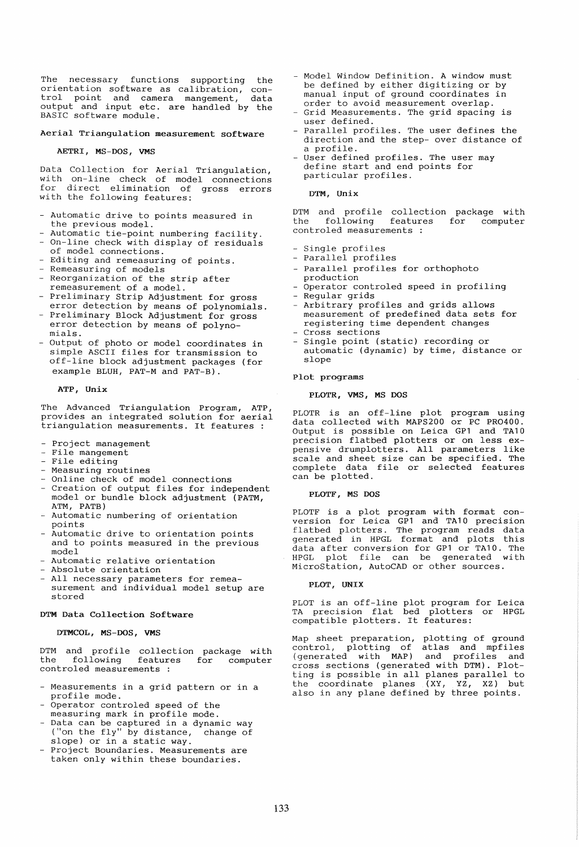The necessary functions supporting the orientation software as calibration conexistence content to the calibration, con-<br>trol point and camera mangement, data output and input etc. are handled 'by the BASIC software module.

# Aerial Triangulation measurement software

#### AETRI, MS-DOS, VMS

Data Collection for Aerial Triangulation with on-line check of model connections<br>for direct elimination of gross errors for direct elimination of gross errors<br>with the following features:

- Automatic drive to points measured in the previous model.
- Automatic tie-point numbering facility.
- On-line check with display of residuals of model connections.
- Editing and remeasuring of points.
- Remeasuring of models
- Reorganization of the strip after
- remeasurement of a model. - Preliminary Strip Adjustment for gross
- error detection by means of polynomials. - Preliminary Block Adjustment for gross error detection by means of polynomlals.
- Output of photo or model coordinates in simple ASCII files for transmission to off-line block adjustment packages (for example BLUH, PAT-M and PAT-B).

### ATP, Unix

The Advanced Triangulation Program, ATP, provides an integrated solution for aerial triangulation measurements. It features :

- Project management
- File mangement File editing
- 
- Measuring routines
- Online check of model connections
- Creation of output files for independent model or bundle block adjustment (PATM, ATM, PATB)
- Automatic numbering of orientation points
- Automatic drive to orientation points and to points measured in the previous model
- Automatic relative orientation
- Absolute orientation
- All necessary parameters for remeasurement and individual model setup are stored

# DTM Data Collection Software

#### DTMCOL, MS-DOS, VMS

DTM and profile collection package with the following features controled measurements : for computer

- Measurements in a grid pattern or in a profile mode.
- Operator controled speed of the measuring mark in profile mode.
- Data can be captured in a dynamic way ("on the fly" by distance, change of slope) or in a static way.
- Project Boundaries. Measurements are taken only within these boundaries.
- Model Window Definition. A window must be defined by either digitizing or by manual input of ground coordinates in order to avoid measurement overlap.
- Grid Measurements. The grid spacing is user defined.
- Parallel profiles. The user defines the direction and the step- over distance of a profile.
- User defined profiles. The user may define start and end points for particular profiles.

#### DTM, Unix

DTM and profile collection package with<br>the following features for computer following controled measurements

- Single profiles
- Parallel profiles
- Parallel profiles for orthophoto
- production Operator controled speed in profiling
- Regular grids
- Arbitrary profiles and grids allows measurement of predefined data sets for registering time dependent changes Cross sections
- Single point (static) recording or automatic (dynamic) by time, distance or slope

### Plot programs

### PLOTR, VMS, MS DOS

PLOTR is an off-line plot program using data collected with MAPS200 or PC PR0400. Output is possible on Leica GP1 and TA10 precision flatbed plotters or on less expensive drumplotters. All parameters like scale and sheet size can be specified. The complete data file or selected features can be plotted.

## PLOTF, MS DOS

PLOTF is a plot program with format conversion for Leica GP1 and TA10 precision flatbed plotters. The program reads data generated in HPGL format and plots this data after conversion for GP1 or TA10. The HPGL plot file can be generated with MicroStation, AutoCAD or other sources.

#### PLOT, UNIX

PLOT is an off-line plot program for Leica TA precision flat bed plotters or HPGL compatible plotters. It features:

Map sheet preparation, plotting of ground control, plotting of atlas and mpfiles (generated with MAP) and profiles and cross sections (generated with DTM). Plotting is possible in all planes parallel to the coordinate planes (XY, YZ, XZ) but also in any plane defined by three points.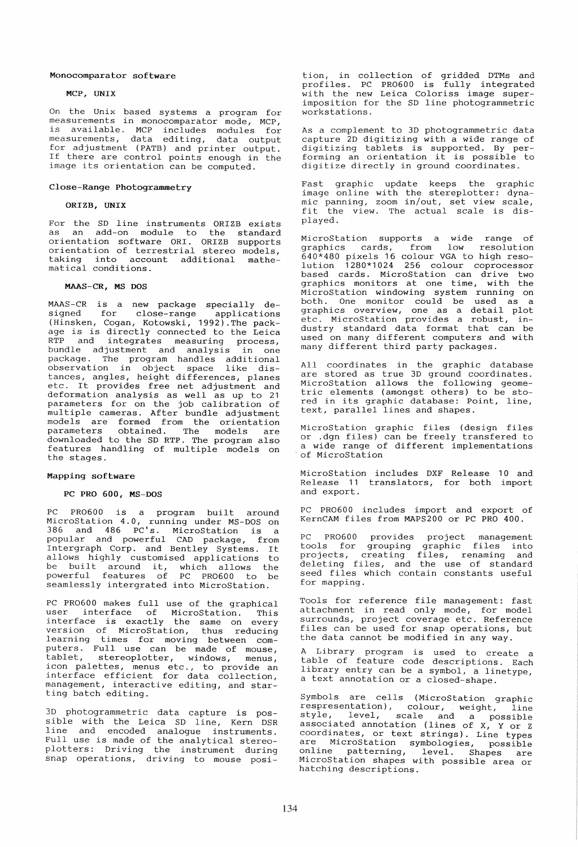### Monocomparator software

# MCP, UNIX

On the Unix based systems a program for measurements in monocomparator mode, MCP, is available. MCP includes modules for measurements, data editing, data output for adJustment (PATB) and printer output. If there are control points enough in the image its orientation can be computed.

## Close-Range Photogrammetry

## ORIZB, UNIX

For the SD line instruments ORIZB exists as an add-on module to the standard orientation software ORI. ORIZB supports orientation of terrestrial stereo models taking into account additional mathe-<br>matical conditions.

# MAAS-CR, MS DOS

MAAS-CR is a new package specially designed for close-range applications (Hinsken, Cogan, Kotowski, 1992).The pack-age is is directly connected to the Leica RTP and integrates measuring process, bundle adjustment and analysis in one package. The program handles additional observation in object space like distances, angles, height differences, planes etc. It provides free net adjustment and deformation analysis as well as up to 21 parameters for on the job calibration of mul tiple cameras. After bundle adjustment models are formed from the orientation parameters obtained. The models are downloaded to the SD RTP. The program also features handling of multiple models on the stages.

#### Mapping software

# PC PRO 600, MS-DOS

PC PR0600 is a program built around MicroStation 4.0, running under MS-DOS on 386 and 486 PC's. MicroStation is a popular and powerful CAD package, from Intergraph Corp. and Bentley Systems. It allows highly customised applications to arrows highly cascomised apprications to<br>be built around it, which allows the powerful features of PC PR0600 to be seamlessly intergrated into MicroStation.

PC PR0600 makes full use of the graphical user interface of MicroStation. This abor interface of incrediction. This version of MicroStation, thus reducing learning times for moving between computers. Full use can be made of mouse, tablet, stereoplotter, windows, menus, icon palettes, menus etc., to provide an interface efficient for data collection, management, interactive editing, and starting batch editing.

3D photogrammetric data capture is possible with the Leica SD line, Kern DSR line and encoded analogue instruments.<br>Full use is made of the analytical stereoplotters: Driving the instrument during snap operations, driving to mouse posi-

tion, in collection of gridded DTMs and profiles. PC PR0600 is fully integrated with the new Leica Coloriss image superimposition for the SD line photogrammetric workstations.

As a complement to 3D photogrammetric data capture 2D digitizing with a wide range of digitizing tablets is supported. By per-<br>forming an orientation it is possible to digitize directly in ground coordinates.

Fast graphic update keeps the graphic image online with the stereplotter: dynamage entire with the secrepressed: a<sub>rma</sub><br>mic panning, zoom in/out, set view scale, fit the view. The actual scale is displayed.

MicroStation supports a wide range of graphics cards, from low resolution 640\*480 pixels 16 colour VGA to high resolution 1280\*1024 256 colour coprocessor based cards. MicroStation can drive two graphics monitors at one time, with the MicroStation windowing system running on both. One monitor could be used as a graphics overview, one as a detail plot etc. MicroStation provides a robust, industry standard data format that can be used on many different computers and with many different third party packages.

All coordinates in the graphic database are stored as true 3D ground coordinates. MicroStation allows the following geometric elements (amongst others) to be stored in its graphic database: Point, line, text, parallel lines and shapes.

MicroStation graphic files (design files or .dgn files) can be freely transfered to a wide range of different implementations<br>of MicroStation

MicroStation includes DXF Release 10 and Release 11 translators, for both import and export.

PC PR0600 includes import and export of KernCAM files from MAPS200 or PC PRO 400.

PC PR0600 provides project management tools for grouping graphic files into projects, creating files, renaming and deleting files, and the use of standard seed files which contain constants useful for mapping.

Tools for reference file management: fast attachment in read only mode, for model surrounds, project coverage etc. Reference surreands, project esterage eco. Reference the data cannot be modified in any way.

A Library program is used to create a table of feature code descriptions. Each library entry can be a symbol, a linetype, a text annotation or a closed-shape.

Symbols are cells (MicroStation graphic respresentation), colour, weight, line style, level, scale and a possible associated annotation (lines of X, Y or Z coordinates, or text strings). Line types are MicroStation symbologies, possible online patterning, level. Shapes are MicroStation shapes with possible area or hatching descriptions.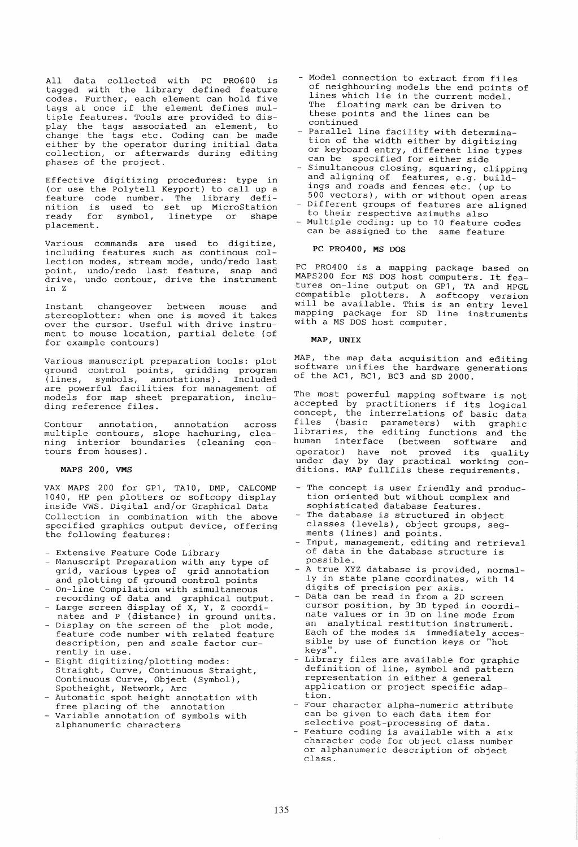All data collected with PC PR0600 is tagged with the library defined feature codes. Further, each element can hold five tags at once if the element defines multiple features. Tools are provided to display the tags associated an element, to change the tags etc. Coding can be made either by the operator during initial data collection, or afterwards during editing phases of the project.

Effective digitizing procedures: type in (or use the Polytell Keyport) to call up a feature code number. The library definition is used to set up MicroStation ready for symbol, linetype or shape placement.

Various commands are used to digitize, including features such as continous collection modes, stream mode, undo/redo last point, undo/redo last feature, snap and drive, undo contour, drive the instrument in Z

Instant changeover between mouse and stereoplotter: when one is moved it takes over the cursor. Useful with drive instrument to mouse location, partial delete (of for example contours)

Various manuscript preparation tools: plot ground control points, gridding program (lines, symbols, annotations). Included are powerful facilities for management of models for map sheet preparation, including reference files.

Contour annotation, annotation across mul tiple contours, slope hachuring, cleaning interior boundaries (cleaning contours from houses).

## MAPS 200, VMS

VAX MAPS 200 for GP1, TA10, DMP, CALCOMP 1040, HP pen plotters or softcopy display inside VWS. Digital and/or Graphical Data Collection in combination with the above specified graphics output device, offering the following features:

- Extensive Feature Code Library
- Manuscript Preparation with any type of grid, various types of grid annotation and plotting of ground control points
- On-line Compilation with simultaneous recording of data and graphical output.
- Large screen display of X, Y, Z coordially below display of m, i, i coordinates and P (distance) in ground units.
- Display on the screen of the plot mode, feature code number with related feature description, pen and scale factor currently in use.
- Eight digitizing/plotting modes: Straight, Curve, Continuous Straight, Continuous Curve, Object (Symbol), Spotheight, Network, Arc
- Automatic spot height annotation with free placing of the annotation
- Variable annotation of symbols with alphanumeric characters
- Model connection to extract from files of neighbouring models the end points of lines which lie in the current model. The floating mark can be driven to these points and the lines can be continued
- Parallel line facility with determination of the width either by digitizing or keyboard entry, different line types can be specified for either side
- Simultaneous closing, squaring, clipping and aligning of features, e.g. buildings and roads and fences etc. (up to 500 vectors), with or without open areas
- Different groups of features are aligned to their respective azimuths also
- Multiple coding: up to 10 feature codes can be assigned to the same feature

## PC PR0400, MS DOS

PC PR0400 is a mapping package based on MAPS200 for MS DOS host computers. It features on-line output on GP1, TA and HPGL compatible plotters. A softcopy version will be available. This is an entry level mapping package for SD line instruments with a MS DOS host computer.

### MAP, UNIX

MAP, the map data acquisition and editing software unifies the hardware generations of the AC1, BC1, BC3 and SD 2000.

The most powerful mapping software is not accepted by practitioners if its logical concept, the interrelations of basic data files (basic parameters) with graphic<br>libraries, the editing functions and the human interface (between software and operator) have not proved its quality under day by day practical working con-ditions. MAP fullfils these requirements.

- The concept is user friendly and production oriented but without complex and sophisticated database features.
- The database is structured in object classes (levels), object groups, segments (lines) and points.
- Input, management, editing and retrieval of data in the database structure is possible.
- A true XYZ database is provided, normally in state plane coordinates, with 14 digits of precision per axis.
- Data can be read in from a 2D screen cursor position, by 3D typed in coordinate values or in 3D on line mode from an analytical restitution instrument. Each of the modes is immediately accessible by use of function keys or "hot keys".
- Library files are available for graphic definition of line, symbol and pattern representation in either a general application or project specific adaption.
- Four character alpha-numeric attribute can be given to each data item for selective post-processing of data.
- Feature coding is available with a six character code for object class number or alphanumeric description of object class.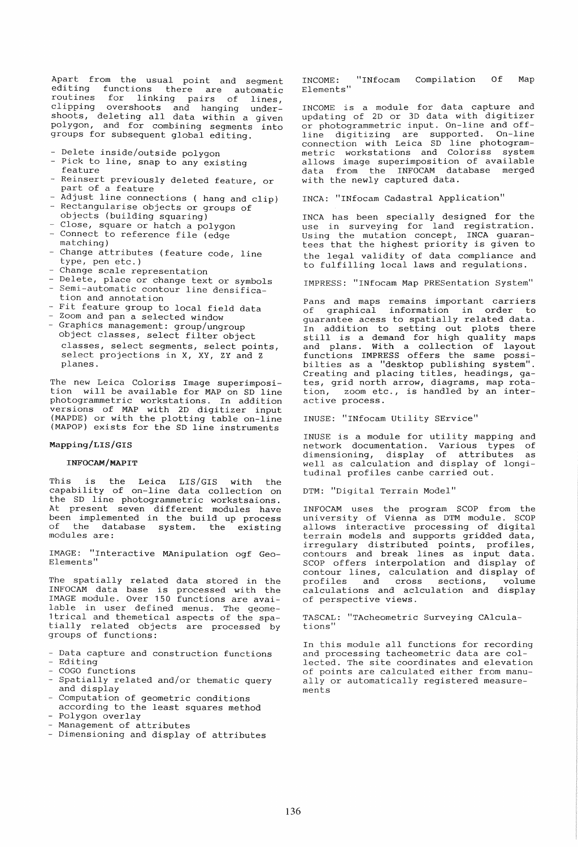Apart from the usual point and segment<br>editing functions there are automatic editing functions there are automatic<br>routines for linking pairs of lines. linking pairs of lines, clipping overshoots and hanging under-shoots, deleting all data within a given polygon, and for combining segments into groups for subsequent global editing.

- Delete inside/outside polygon
- Pick to line, snap to any existing feature
- Reinsert previously deleted feature, or part of a feature
- Adjust line connections ( hang and clip)
- Rectangularise objects or groups of objects (building squaring)
- Close, square or hatch a polygon - Connect to reference file (edge
- matching)
- Change attributes (feature code, line type, pen etc.)
- Change scale representation
- Delete, place or change text or symbols Semi-automatic contour line densification and annotation
- Fit feature group to local field data
- Zoom and pan a selected window
- Graphics management: group/ungroup object classes, select filter object classes, select segments, select points, select projections in X, XY, ZY and Z planes.

The new Leica Coloriss Image superimposition will be available for MAP on SD line photogrammetric workstations. In addition versions of MAP with 2D digitizer input (MAPDE) or with the plotting table on-line (MAPOP) exists for the SD line instruments

## Mapping/LIS/GIS

# INFOCAM/MAPIT

This is the Leica LIS/GIS with the capability of on-line data collection on the SD line photogrammetric workstsaions. At present seven different modules have been implemented in the build up process<br>of the database system. the existing of the database system. the modules are:

IMAGE: "Interactive MAnipulation ogf Geo-Elements"

The spatially related data stored in the INFOCAM data base is processed with the IMAGE module. Over 150 functions are available in user defined menus. The geome-1trical and themetical aspects of the spatially related objects are processed by groups of functions:

- Data capture and construction functions Editing
- 
- COGO functions
- Spatially related and/or thematic query and display
- Computation of geometric conditions
- according to the least squares method Polygon overlay
- Management of attributes
- Dimensioning and display of attributes

INCOME: "INfocam Compilation Of Map Elements"

INCOME is a module for data capture and updating of 2D or 3D data with digitizer or photogrammetric input. On-line and offline digitizing are supported. On-line connection with Leica SD line photogrammetric workstations and Coloriss system allows image superimposition of available data from the INFOCAM database merged with the newly captured data.

INCA: "INfocam Cadastral Application"

INCA has been specially designed for the use in surveying for land registration. Using the mutation concept, INCA guarantees that the highest priority is given to the legal validity of data compliance and to fulfilling local laws and regulations.

IMPRESS: "INfocam Map PRESentation System"

Pans and maps remains important carriers<br>of graphical information in order to information in order guarantee acess to spatially related data. In addition to setting out plots there<br>still is a demand for high quality maps and plans. With a collection of layout functions IMPRESS offers the same possibilties as a "desktop publishing system". Creating and placing titles, headings, gates, grid north arrow, diagrams, map rota-<br>tion, zoom etc., is handled by an interzoom etc., is handled by an interactive process.

INUSE: "INfocam utility SErvice"

INUSE is a module for utility mapping and network documentation. Various types of dimensioning, display of attributes as dimensioning, display of attributes as<br>well as calculation and display of longitudinal profiles canbe carried out.

DTM: "Digital Terrain Model"

INFOCAM uses the program SCOP from the uni versi ty of Vienna as DTM module. SCOP allows interactive processing of digital terrain models and supports gridded data, irregulary distributed points, profiles, contours and break lines as input data. SCOP offers interpolation and display of contour lines, calculation and display of profiles and cross sections, volume profiles and cross sections, volume<br>calculations and aclculation and display of perspective views.

TASCAL: "TAcheometric Surveying CAlculations"

In this module all functions for recording and processing tacheometric data are collected. The site coordinates and elevation of points are calculated either from manually or automatically registered measurements